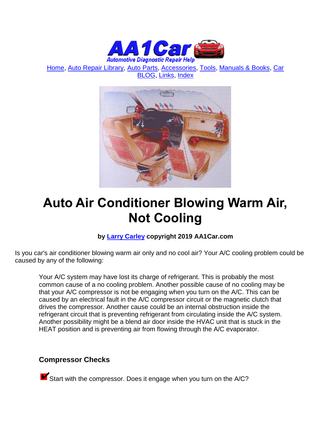

[Home,](http://www.aa1car.com/) [Auto Repair Library,](http://www.aa1car.com/library.htm) [Auto Parts,](http://www.aa1car.com/links_parts.htm) [Accessories,](http://www.aa1car.com/links_accessories.htm) [Tools,](http://www.aa1car.com/links_tools.htm) [Manuals & Books,](http://www.aa1car.com/links_books.htm) [Car](http://www.aa1car.com/blog/blog.htm)  [BLOG,](http://www.aa1car.com/blog/blog.htm) [Links,](http://www.aa1car.com/links.htm) [Index](http://www.aa1car.com/index_alphabetical.htm)



# **Auto Air Conditioner Blowing Warm Air, Not Cooling**

#### **by [Larry Carley](https://www.aa1car.com/larrypage/larrycarley_photos.htm) copyright 2019 AA1Car.com**

Is you car's air conditioner blowing warm air only and no cool air? Your A/C cooling problem could be caused by any of the following:

Your A/C system may have lost its charge of refrigerant. This is probably the most common cause of a no cooling problem. Another possible cause of no cooling may be that your A/C compressor is not be engaging when you turn on the A/C. This can be caused by an electrical fault in the A/C compressor circuit or the magnetic clutch that drives the compressor. Another cause could be an internal obstruction inside the refrigerant circuit that is preventing refrigerant from circulating inside the A/C system. Another possibility might be a blend air door inside the HVAC unit that is stuck in the HEAT position and is preventing air from flowing through the A/C evaporator.

#### **Compressor Checks**

**K** Start with the compressor. Does it engage when you turn on the A/C?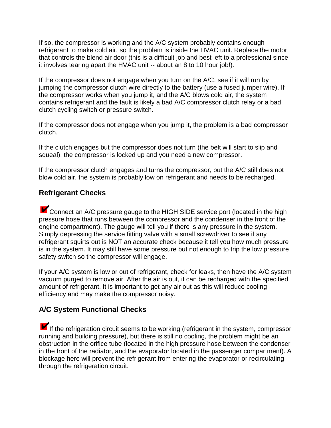If so, the compressor is working and the A/C system probably contains enough refrigerant to make cold air, so the problem is inside the HVAC unit. Replace the motor that controls the blend air door (this is a difficult job and best left to a professional since it involves tearing apart the HVAC unit -- about an 8 to 10 hour job!).

If the compressor does not engage when you turn on the A/C, see if it will run by jumping the compressor clutch wire directly to the battery (use a fused jumper wire). If the compressor works when you jump it, and the A/C blows cold air, the system contains refrigerant and the fault is likely a bad A/C compressor clutch relay or a bad clutch cycling switch or pressure switch.

If the compressor does not engage when you jump it, the problem is a bad compressor clutch.

If the clutch engages but the compressor does not turn (the belt will start to slip and squeal), the compressor is locked up and you need a new compressor.

If the compressor clutch engages and turns the compressor, but the A/C still does not blow cold air, the system is probably low on refrigerant and needs to be recharged.

#### **Refrigerant Checks**

**K** Connect an A/C pressure gauge to the HIGH SIDE service port (located in the high pressure hose that runs between the compressor and the condenser in the front of the engine compartment). The gauge will tell you if there is any pressure in the system. Simply depressing the service fitting valve with a small screwdriver to see if any refrigerant squirts out is NOT an accurate check because it tell you how much pressure is in the system. It may still have some pressure but not enough to trip the low pressure safety switch so the compressor will engage.

If your A/C system is low or out of refrigerant, check for leaks, then have the A/C system vacuum purged to remove air. After the air is out, it can be recharged with the specified amount of refrigerant. It is important to get any air out as this will reduce cooling efficiency and may make the compressor noisy.

## **A/C System Functional Checks**

If the refrigeration circuit seems to be working (refrigerant in the system, compressor running and building pressure), but there is still no cooling, the problem might be an obstruction in the orifice tube (located in the high pressure hose between the condenser in the front of the radiator, and the evaporator located in the passenger compartment). A blockage here will prevent the refrigerant from entering the evaporator or recirculating through the refrigeration circuit.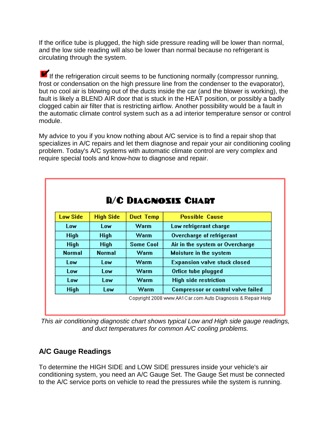If the orifice tube is plugged, the high side pressure reading will be lower than normal, and the low side reading will also be lower than normal because no refrigerant is circulating through the system.

If the refrigeration circuit seems to be functioning normally (compressor running, frost or condensation on the high pressure line from the condenser to the evaporator), but no cool air is blowing out of the ducts inside the car (and the blower is working), the fault is likely a BLEND AIR door that is stuck in the HEAT position, or possibly a badly clogged cabin air filter that is restricting airflow. Another possibility would be a fault in the automatic climate control system such as a ad interior temperature sensor or control module.

My advice to you if you know nothing about A/C service is to find a repair shop that specializes in A/C repairs and let them diagnose and repair your air conditioning cooling problem. Today's A/C systems with automatic climate control are very complex and require special tools and know-how to diagnose and repair.

| <b>D/C DIAGNOSIS CHART</b> |                  |                  |                                           |
|----------------------------|------------------|------------------|-------------------------------------------|
| Low Side                   | <b>High Side</b> | <b>Duct Temp</b> | <b>Possible Cause</b>                     |
| Low                        | Low              | Warm             | Low refrigerant charge                    |
| <b>High</b>                | <b>High</b>      | <b>Warm</b>      | Overcharge of refrigerant                 |
| <b>High</b>                | <b>High</b>      | <b>Some Cool</b> | Air in the system or Overcharge           |
| <b>Normal</b>              | <b>Normal</b>    | Warm             | Moisture in the system                    |
| Low                        | Low              | Warm             | <b>Expansion valve stuck closed</b>       |
| Low                        | Low              | Warm             | Orfice tube plugged                       |
| Low                        | Low              | Warm             | <b>High side restriction</b>              |
| High                       | Low              | Warm             | <b>Compressor or control valve failed</b> |

*This air conditioning diagnostic chart shows typical Low and High side gauge readings, and duct temperatures for common A/C cooling problems.*

## **A/C Gauge Readings**

To determine the HIGH SIDE and LOW SIDE pressures inside your vehicle's air conditioning system, you need an A/C Gauge Set. The Gauge Set must be connected to the A/C service ports on vehicle to read the pressures while the system is running.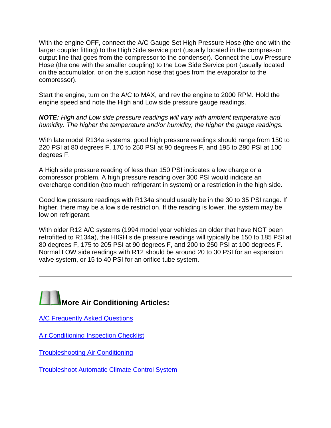With the engine OFF, connect the A/C Gauge Set High Pressure Hose (the one with the larger coupler fitting) to the High Side service port (usually located in the compressor output line that goes from the compressor to the condenser). Connect the Low Pressure Hose (the one with the smaller coupling) to the Low Side Service port (usually located on the accumulator, or on the suction hose that goes from the evaporator to the compressor).

Start the engine, turn on the A/C to MAX, and rev the engine to 2000 RPM. Hold the engine speed and note the High and Low side pressure gauge readings.

*NOTE: High and Low side pressure readings will vary with ambient temperature and humidity. The higher the temperature and/or humidity, the higher the gauge readings.*

With late model R134a systems, good high pressure readings should range from 150 to 220 PSI at 80 degrees F, 170 to 250 PSI at 90 degrees F, and 195 to 280 PSI at 100 degrees F.

A High side pressure reading of less than 150 PSI indicates a low charge or a compressor problem. A high pressure reading over 300 PSI would indicate an overcharge condition (too much refrigerant in system) or a restriction in the high side.

Good low pressure readings with R134a should usually be in the 30 to 35 PSI range. If higher, there may be a low side restriction. If the reading is lower, the system may be low on refrigerant.

With older R12 A/C systems (1994 model year vehicles an older that have NOT been retrofitted to R134a), the HIGH side pressure readings will typically be 150 to 185 PSI at 80 degrees F, 175 to 205 PSI at 90 degrees F, and 200 to 250 PSI at 100 degrees F. Normal LOW side readings with R12 should be around 20 to 30 PSI for an expansion valve system, or 15 to 40 PSI for an orifice tube system.

# **More Air Conditioning Articles:**

[A/C Frequently Asked Questions](http://www.aa1car.com/library/ac_faqs.htm)

**[Air Conditioning Inspection Checklist](http://www.aa1car.com/library/air_conditioning_inspection_checklist.htm)** 

[Troubleshooting Air Conditioning](http://www.aa1car.com/library/ac98.htm)

[Troubleshoot Automatic Climate Control System](http://www.aa1car.com/library/automatic_climate_control.htm)